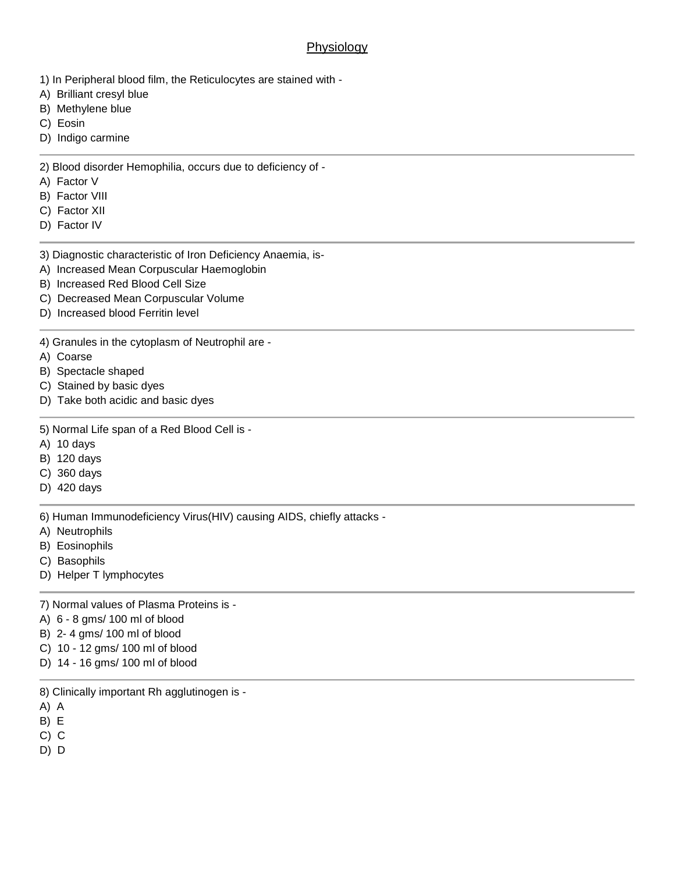## **Physiology**

- 1) In Peripheral blood film, the Reticulocytes are stained with -
- A) Brilliant cresyl blue
- B) Methylene blue
- C) Eosin
- D) Indigo carmine

## 2) Blood disorder Hemophilia, occurs due to deficiency of -

- A) Factor V
- B) Factor VIII
- C) Factor XII
- D) Factor IV
- 3) Diagnostic characteristic of Iron Deficiency Anaemia, is-
- A) Increased Mean Corpuscular Haemoglobin
- B) Increased Red Blood Cell Size
- C) Decreased Mean Corpuscular Volume
- D) Increased blood Ferritin level
- 4) Granules in the cytoplasm of Neutrophil are -
- A) Coarse
- B) Spectacle shaped
- C) Stained by basic dyes
- D) Take both acidic and basic dyes
- 5) Normal Life span of a Red Blood Cell is -
- A) 10 days
- B) 120 days
- C) 360 days
- D) 420 days

6) Human Immunodeficiency Virus(HIV) causing AIDS, chiefly attacks -

- A) Neutrophils
- B) Eosinophils
- C) Basophils
- D) Helper T lymphocytes
- 7) Normal values of Plasma Proteins is -
- A) 6 8 gms/ 100 ml of blood
- B) 2- 4 gms/ 100 ml of blood
- C) 10 12 gms/ 100 ml of blood
- D) 14 16 gms/ 100 ml of blood
- 8) Clinically important Rh agglutinogen is -
- A) A
- B) E
- C) C
- D) D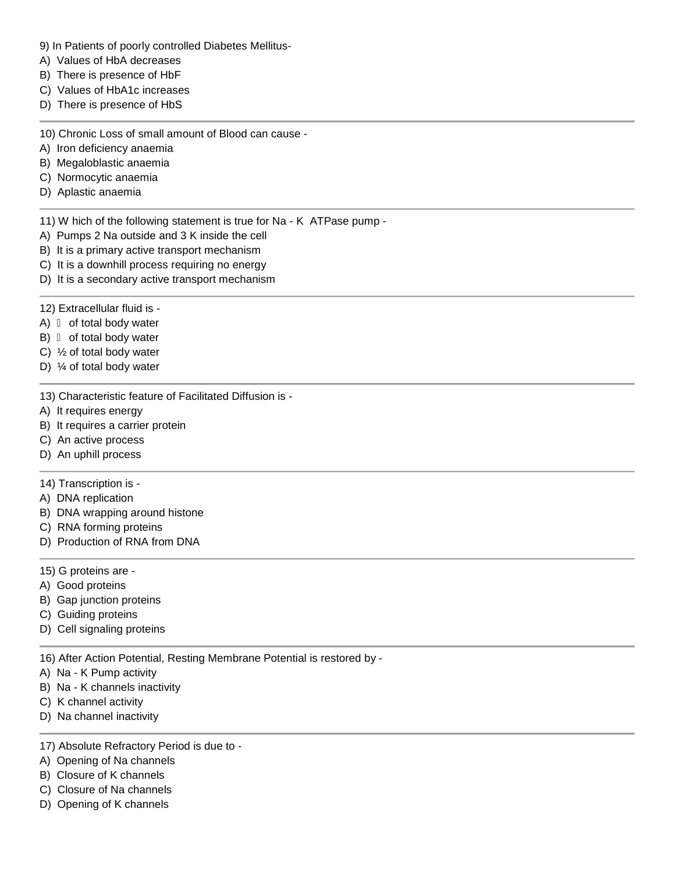- 9) In Patients of poorly controlled Diabetes Mellitus-
- A) Values of HbA decreases
- B) There is presence of HbF
- C) Values of HbA1c increases
- D) There is presence of HbS

10) Chronic Loss of small amount of Blood can cause -

A) Iron deficiency anaemia

- B) Megaloblastic anaemia
- C) Normocytic anaemia
- D) Aplastic anaemia

11) W hich of the following statement is true for Na - K ATPase pump -

- A) Pumps 2 Na outside and 3 K inside the cell
- B) It is a primary active transport mechanism
- C) It is a downhill process requiring no energy
- D) It is a secondary active transport mechanism
- 12) Extracellular fluid is -
- A) of total body water
- B) of total body water
- C) ½ of total body water
- D) ¼ of total body water

13) Characteristic feature of Facilitated Diffusion is -

- A) It requires energy
- B) It requires a carrier protein
- C) An active process
- D) An uphill process

## 14) Transcription is -

- A) DNA replication
- B) DNA wrapping around histone
- C) RNA forming proteins
- D) Production of RNA from DNA
- 15) G proteins are -
- A) Good proteins
- B) Gap junction proteins
- C) Guiding proteins
- D) Cell signaling proteins

16) After Action Potential, Resting Membrane Potential is restored by -

- A) Na K Pump activity
- B) Na K channels inactivity
- C) K channel activity
- D) Na channel inactivity
- 17) Absolute Refractory Period is due to -
- A) Opening of Na channels
- B) Closure of K channels
- C) Closure of Na channels
- D) Opening of K channels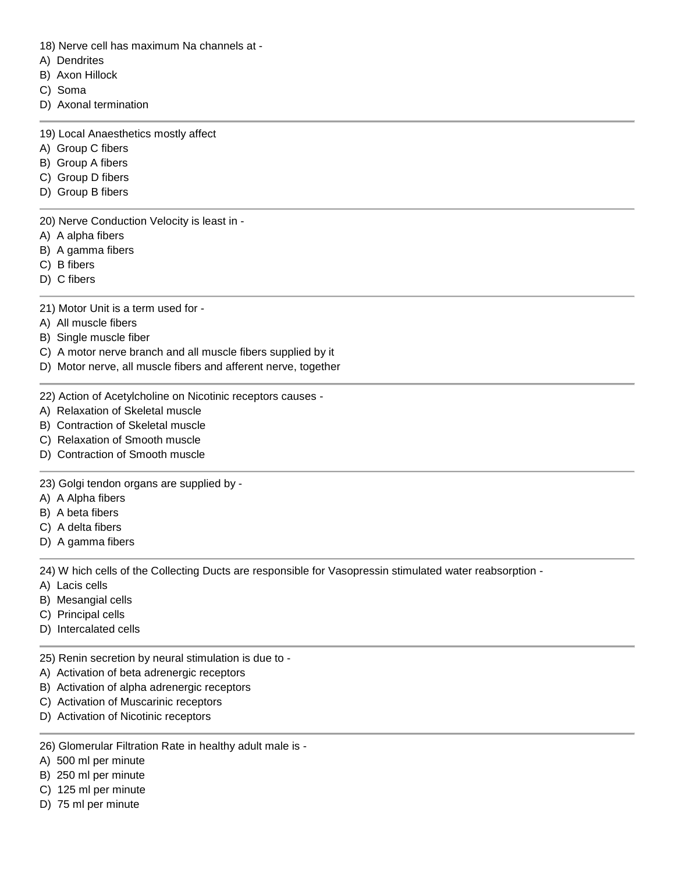- 18) Nerve cell has maximum Na channels at -
- A) Dendrites
- B) Axon Hillock
- C) Soma
- D) Axonal termination
- 19) Local Anaesthetics mostly affect
- A) Group C fibers
- B) Group A fibers
- C) Group D fibers
- D) Group B fibers

20) Nerve Conduction Velocity is least in -

- A) A alpha fibers
- B) A gamma fibers
- C) B fibers
- D) C fibers
- 21) Motor Unit is a term used for -
- A) All muscle fibers
- B) Single muscle fiber
- C) A motor nerve branch and all muscle fibers supplied by it
- D) Motor nerve, all muscle fibers and afferent nerve, together
- 22) Action of Acetylcholine on Nicotinic receptors causes -
- A) Relaxation of Skeletal muscle
- B) Contraction of Skeletal muscle
- C) Relaxation of Smooth muscle
- D) Contraction of Smooth muscle

23) Golgi tendon organs are supplied by -

- A) A Alpha fibers
- B) A beta fibers
- C) A delta fibers
- D) A gamma fibers

24) W hich cells of the Collecting Ducts are responsible for Vasopressin stimulated water reabsorption -

- A) Lacis cells
- B) Mesangial cells
- C) Principal cells
- D) Intercalated cells
- 25) Renin secretion by neural stimulation is due to -
- A) Activation of beta adrenergic receptors
- B) Activation of alpha adrenergic receptors
- C) Activation of Muscarinic receptors
- D) Activation of Nicotinic receptors
- 26) Glomerular Filtration Rate in healthy adult male is -
- A) 500 ml per minute
- B) 250 ml per minute
- C) 125 ml per minute
- D) 75 ml per minute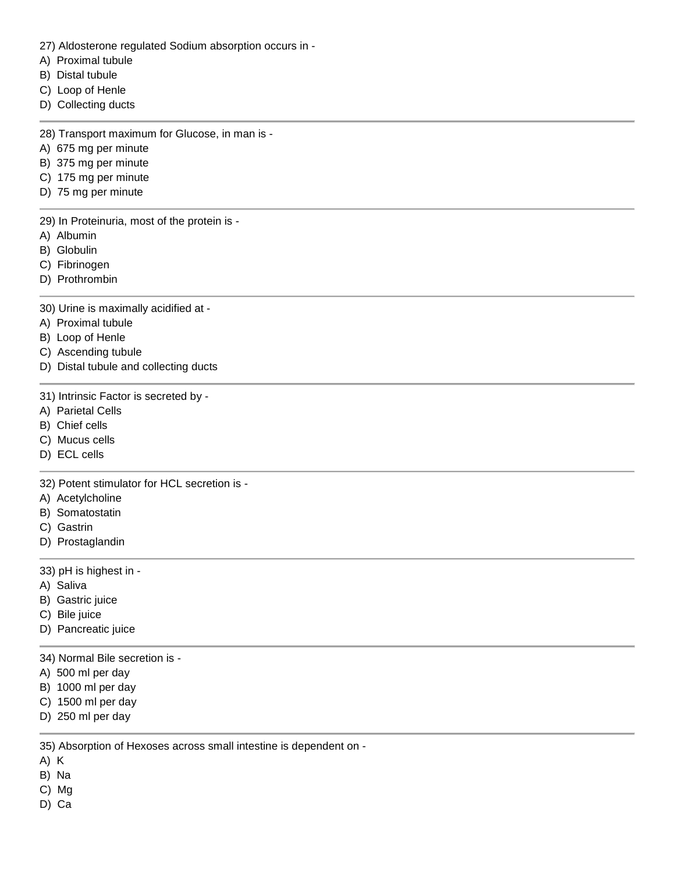- 27) Aldosterone regulated Sodium absorption occurs in -
- A) Proximal tubule
- B) Distal tubule
- C) Loop of Henle
- D) Collecting ducts
- 28) Transport maximum for Glucose, in man is -
- A) 675 mg per minute
- B) 375 mg per minute
- C) 175 mg per minute
- D) 75 mg per minute

29) In Proteinuria, most of the protein is -

- A) Albumin
- B) Globulin
- C) Fibrinogen
- D) Prothrombin

30) Urine is maximally acidified at -

- A) Proximal tubule
- B) Loop of Henle
- C) Ascending tubule
- D) Distal tubule and collecting ducts
- 31) Intrinsic Factor is secreted by -
- A) Parietal Cells
- B) Chief cells
- C) Mucus cells
- D) ECL cells

32) Potent stimulator for HCL secretion is -

- A) Acetylcholine
- B) Somatostatin
- C) Gastrin
- D) Prostaglandin

33) pH is highest in -

- A) Saliva
- B) Gastric juice
- C) Bile juice
- D) Pancreatic juice
- 34) Normal Bile secretion is -
- A) 500 ml per day
- B) 1000 ml per day
- C) 1500 ml per day
- D) 250 ml per day

35) Absorption of Hexoses across small intestine is dependent on -

- A) K
- B) Na
- C) Mg
- D) Ca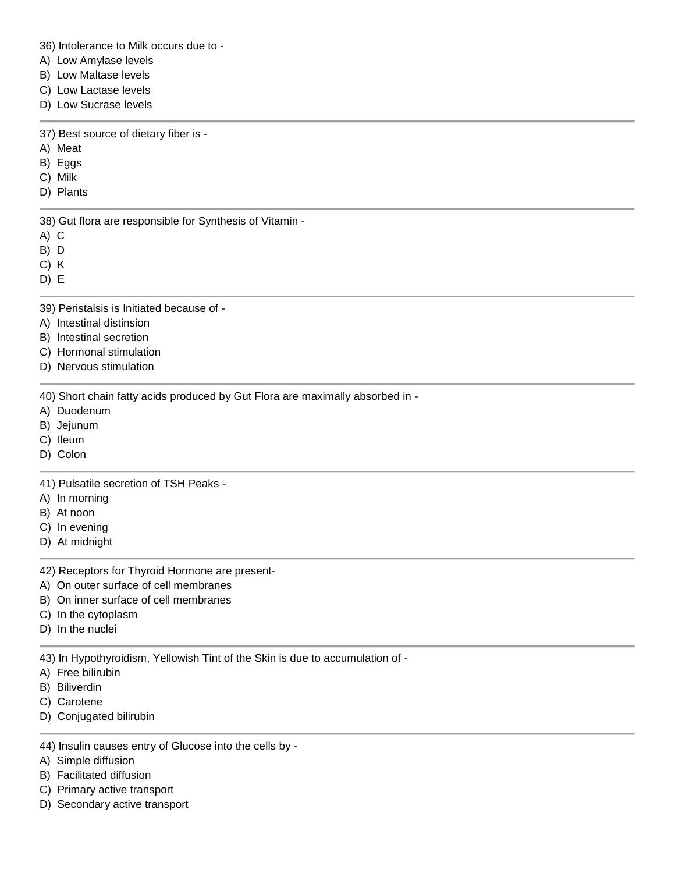36) Intolerance to Milk occurs due to -

- A) Low Amylase levels
- B) Low Maltase levels
- C) Low Lactase levels
- D) Low Sucrase levels

37) Best source of dietary fiber is -

- A) Meat
- B) Eggs
- C) Milk
- D) Plants

38) Gut flora are responsible for Synthesis of Vitamin -

- A) C
- B) D
- C) K
- D) E
- 39) Peristalsis is Initiated because of -
- A) Intestinal distinsion
- B) Intestinal secretion
- C) Hormonal stimulation
- D) Nervous stimulation

40) Short chain fatty acids produced by Gut Flora are maximally absorbed in -

- A) Duodenum
- B) Jejunum
- C) Ileum
- D) Colon

41) Pulsatile secretion of TSH Peaks -

- A) In morning
- B) At noon
- C) In evening
- D) At midnight

42) Receptors for Thyroid Hormone are present-

- A) On outer surface of cell membranes
- B) On inner surface of cell membranes
- C) In the cytoplasm
- D) In the nuclei

43) In Hypothyroidism, Yellowish Tint of the Skin is due to accumulation of -

- A) Free bilirubin
- B) Biliverdin
- C) Carotene
- D) Conjugated bilirubin
- 44) Insulin causes entry of Glucose into the cells by -
- A) Simple diffusion
- B) Facilitated diffusion
- C) Primary active transport
- D) Secondary active transport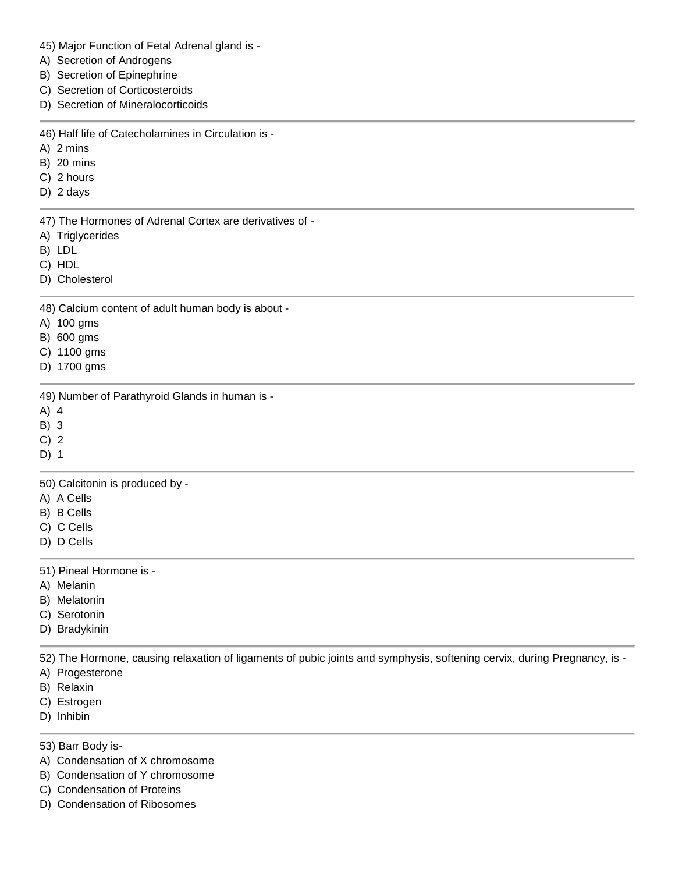|  |  | 45) Major Function of Fetal Adrenal gland is - |  |
|--|--|------------------------------------------------|--|
|--|--|------------------------------------------------|--|

- A) Secretion of Androgens
- B) Secretion of Epinephrine
- C) Secretion of Corticosteroids
- D) Secretion of Mineralocorticoids

46) Half life of Catecholamines in Circulation is -

- A) 2 mins
- B) 20 mins
- C) 2 hours
- D) 2 days

47) The Hormones of Adrenal Cortex are derivatives of -

- A) Triglycerides
- B) LDL
- C) HDL
- D) Cholesterol

48) Calcium content of adult human body is about -

- A) 100 gms
- B) 600 gms
- C) 1100 gms
- D) 1700 gms

49) Number of Parathyroid Glands in human is -

- A) 4
- B) 3
- C) 2

D) 1

50) Calcitonin is produced by -

- A) A Cells
- B) B Cells
- C) C Cells
- D) D Cells

51) Pineal Hormone is -

- A) Melanin
- B) Melatonin
- C) Serotonin
- D) Bradykinin

52) The Hormone, causing relaxation of ligaments of pubic joints and symphysis, softening cervix, during Pregnancy, is -

- A) Progesterone
- B) Relaxin
- C) Estrogen
- D) Inhibin

53) Barr Body is-

- A) Condensation of X chromosome
- B) Condensation of Y chromosome
- C) Condensation of Proteins
- D) Condensation of Ribosomes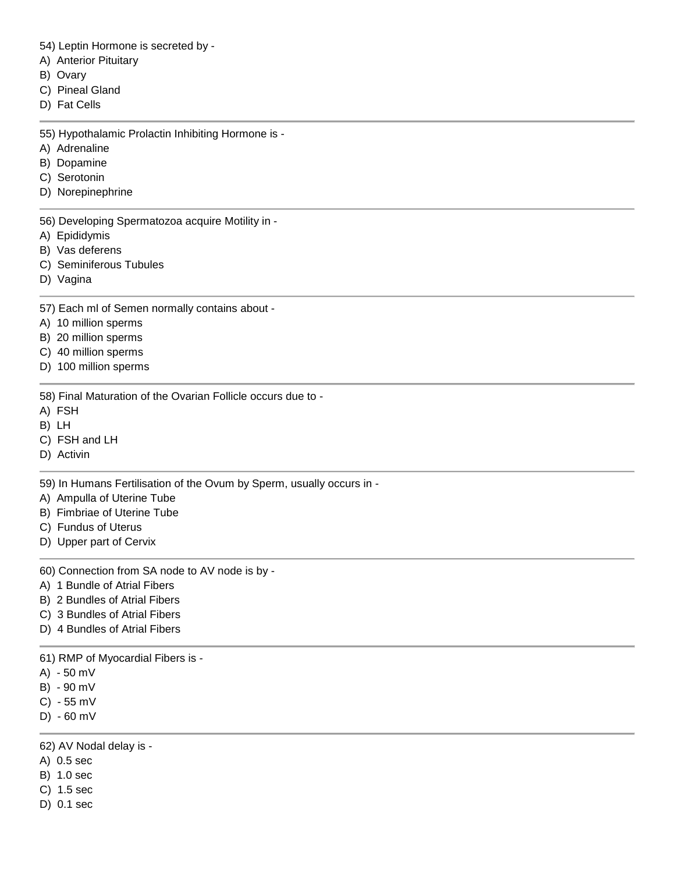54) Leptin Hormone is secreted by -

- A) Anterior Pituitary
- B) Ovary
- C) Pineal Gland
- D) Fat Cells

55) Hypothalamic Prolactin Inhibiting Hormone is -

- A) Adrenaline
- B) Dopamine
- C) Serotonin
- D) Norepinephrine

56) Developing Spermatozoa acquire Motility in -

- A) Epididymis
- B) Vas deferens
- C) Seminiferous Tubules
- D) Vagina

57) Each ml of Semen normally contains about -

- A) 10 million sperms
- B) 20 million sperms
- C) 40 million sperms
- D) 100 million sperms

58) Final Maturation of the Ovarian Follicle occurs due to -

- A) FSH
- B) LH
- C) FSH and LH
- D) Activin

59) In Humans Fertilisation of the Ovum by Sperm, usually occurs in -

- A) Ampulla of Uterine Tube
- B) Fimbriae of Uterine Tube
- C) Fundus of Uterus
- D) Upper part of Cervix
- 60) Connection from SA node to AV node is by -
- A) 1 Bundle of Atrial Fibers
- B) 2 Bundles of Atrial Fibers
- C) 3 Bundles of Atrial Fibers
- D) 4 Bundles of Atrial Fibers

61) RMP of Myocardial Fibers is -

- A) 50 mV
- B) 90 mV
- C) 55 mV
- D) 60 mV

62) AV Nodal delay is -

- A) 0.5 sec
- B) 1.0 sec
- C) 1.5 sec
- D) 0.1 sec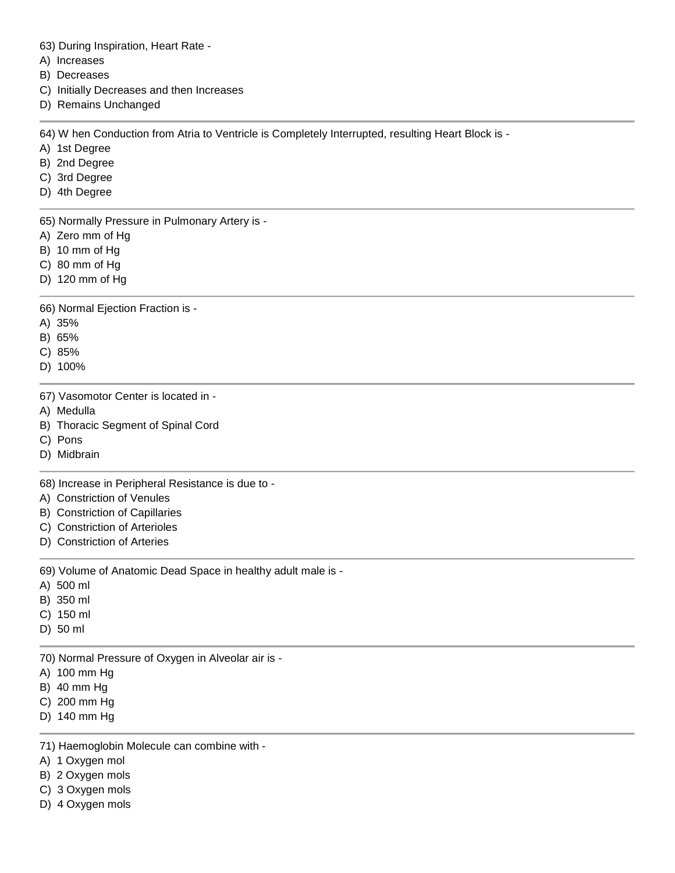63) During Inspiration, Heart Rate -

A) Increases

B) Decreases

- C) Initially Decreases and then Increases
- D) Remains Unchanged

64) W hen Conduction from Atria to Ventricle is Completely Interrupted, resulting Heart Block is -

- A) 1st Degree
- B) 2nd Degree
- C) 3rd Degree
- D) 4th Degree

65) Normally Pressure in Pulmonary Artery is -

- A) Zero mm of Hg
- B) 10 mm of Hg
- C) 80 mm of Hg
- D) 120 mm of Hg

66) Normal Ejection Fraction is -

- A) 35%
- B) 65%

C) 85%

D) 100%

67) Vasomotor Center is located in -

A) Medulla

- B) Thoracic Segment of Spinal Cord
- C) Pons
- D) Midbrain

68) Increase in Peripheral Resistance is due to -

- A) Constriction of Venules
- B) Constriction of Capillaries
- C) Constriction of Arterioles
- D) Constriction of Arteries

69) Volume of Anatomic Dead Space in healthy adult male is -

- A) 500 ml
- B) 350 ml
- C) 150 ml
- D) 50 ml

70) Normal Pressure of Oxygen in Alveolar air is -

- A) 100 mm Hg
- B) 40 mm Hg
- C) 200 mm Hg
- D) 140 mm Hg

71) Haemoglobin Molecule can combine with -

- A) 1 Oxygen mol
- B) 2 Oxygen mols
- C) 3 Oxygen mols
- D) 4 Oxygen mols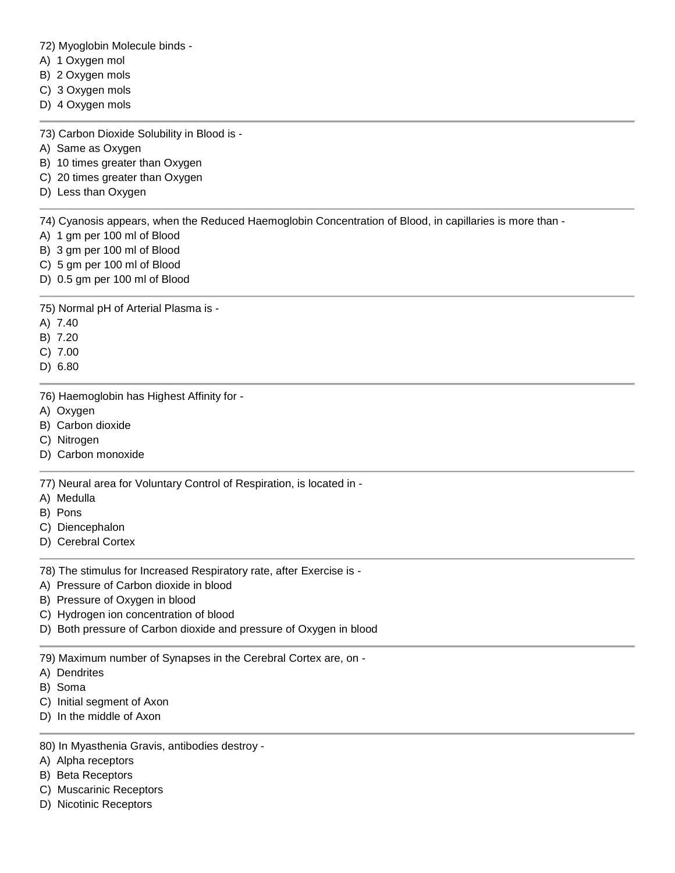72) Myoglobin Molecule binds -

- A) 1 Oxygen mol
- B) 2 Oxygen mols
- C) 3 Oxygen mols
- D) 4 Oxygen mols

73) Carbon Dioxide Solubility in Blood is -

- A) Same as Oxygen
- B) 10 times greater than Oxygen
- C) 20 times greater than Oxygen
- D) Less than Oxygen

74) Cyanosis appears, when the Reduced Haemoglobin Concentration of Blood, in capillaries is more than -

- A) 1 gm per 100 ml of Blood
- B) 3 gm per 100 ml of Blood
- C) 5 gm per 100 ml of Blood
- D) 0.5 gm per 100 ml of Blood

75) Normal pH of Arterial Plasma is -

A) 7.40

B) 7.20

C) 7.00

D) 6.80

76) Haemoglobin has Highest Affinity for -

- A) Oxygen
- B) Carbon dioxide
- C) Nitrogen
- D) Carbon monoxide

77) Neural area for Voluntary Control of Respiration, is located in -

- A) Medulla
- B) Pons
- C) Diencephalon
- D) Cerebral Cortex

78) The stimulus for Increased Respiratory rate, after Exercise is -

- A) Pressure of Carbon dioxide in blood
- B) Pressure of Oxygen in blood
- C) Hydrogen ion concentration of blood
- D) Both pressure of Carbon dioxide and pressure of Oxygen in blood

79) Maximum number of Synapses in the Cerebral Cortex are, on -

- A) Dendrites
- B) Soma
- C) Initial segment of Axon
- D) In the middle of Axon
- 80) In Myasthenia Gravis, antibodies destroy -
- A) Alpha receptors
- B) Beta Receptors
- C) Muscarinic Receptors
- D) Nicotinic Receptors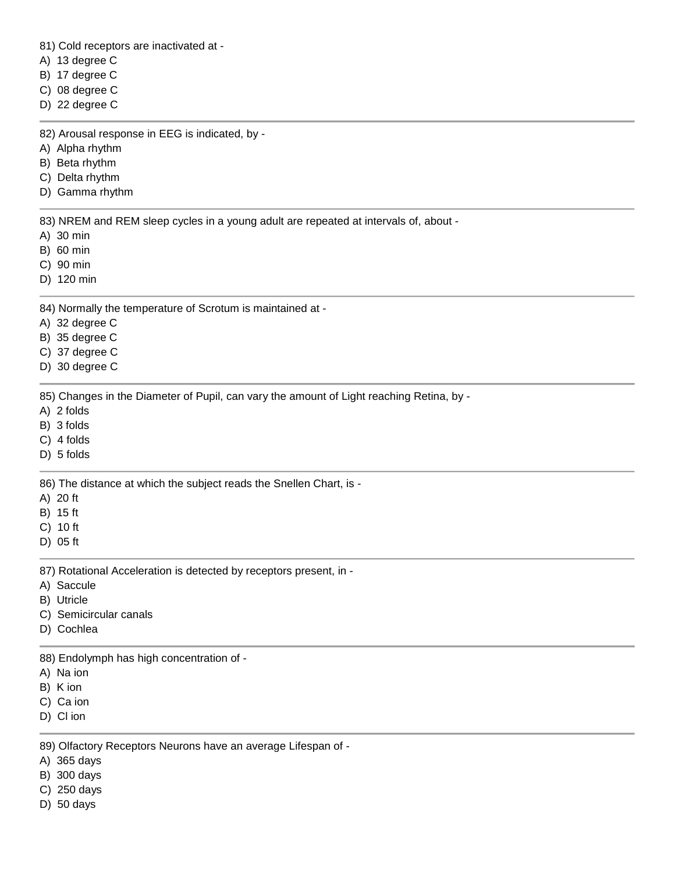81) Cold receptors are inactivated at -

A) 13 degree C

B) 17 degree C

C) 08 degree C

D) 22 degree C

82) Arousal response in EEG is indicated, by -

A) Alpha rhythm

B) Beta rhythm

C) Delta rhythm

D) Gamma rhythm

83) NREM and REM sleep cycles in a young adult are repeated at intervals of, about -

A) 30 min

B) 60 min

C) 90 min

D) 120 min

84) Normally the temperature of Scrotum is maintained at -

A) 32 degree C

B) 35 degree C

C) 37 degree C

D) 30 degree C

85) Changes in the Diameter of Pupil, can vary the amount of Light reaching Retina, by -

A) 2 folds

B) 3 folds

C) 4 folds

D) 5 folds

86) The distance at which the subject reads the Snellen Chart, is -

A) 20 ft

B) 15 ft

C) 10 ft

D) 05 ft

87) Rotational Acceleration is detected by receptors present, in -

A) Saccule

B) Utricle

C) Semicircular canals

D) Cochlea

88) Endolymph has high concentration of -

A) Na ion

B) K ion

C) Ca ion

D) Cl ion

89) Olfactory Receptors Neurons have an average Lifespan of -

A) 365 days

B) 300 days

C) 250 days

D) 50 days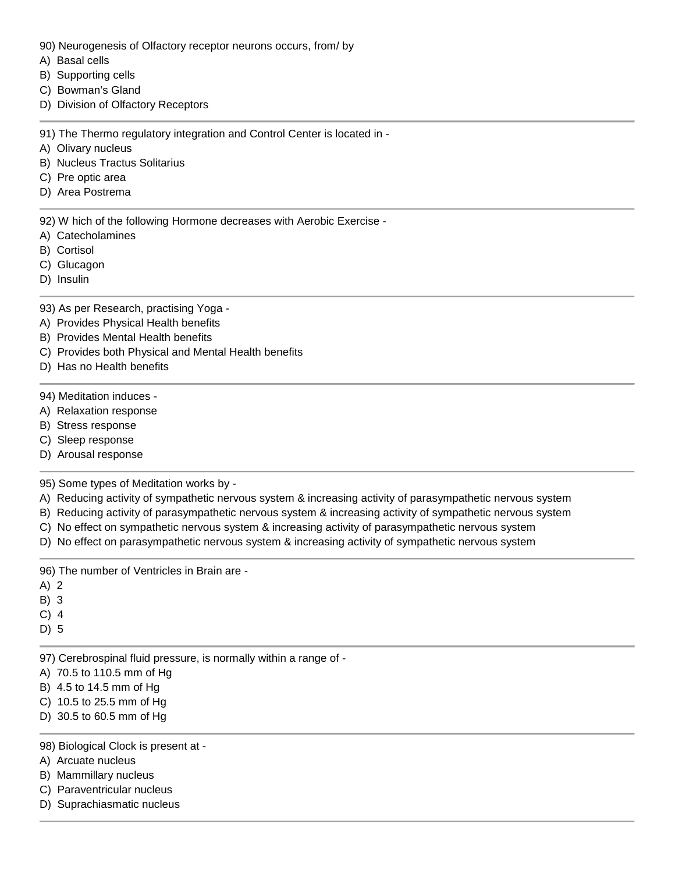- 90) Neurogenesis of Olfactory receptor neurons occurs, from/ by
- A) Basal cells
- B) Supporting cells
- C) Bowman's Gland
- D) Division of Olfactory Receptors

91) The Thermo regulatory integration and Control Center is located in -

- A) Olivary nucleus
- B) Nucleus Tractus Solitarius
- C) Pre optic area
- D) Area Postrema

92) W hich of the following Hormone decreases with Aerobic Exercise -

- A) Catecholamines
- B) Cortisol
- C) Glucagon
- D) Insulin

93) As per Research, practising Yoga -

- A) Provides Physical Health benefits
- B) Provides Mental Health benefits
- C) Provides both Physical and Mental Health benefits
- D) Has no Health benefits
- 94) Meditation induces -
- A) Relaxation response
- B) Stress response
- C) Sleep response
- D) Arousal response

95) Some types of Meditation works by -

- A) Reducing activity of sympathetic nervous system & increasing activity of parasympathetic nervous system
- B) Reducing activity of parasympathetic nervous system & increasing activity of sympathetic nervous system
- C) No effect on sympathetic nervous system & increasing activity of parasympathetic nervous system
- D) No effect on parasympathetic nervous system & increasing activity of sympathetic nervous system

96) The number of Ventricles in Brain are -

- A) 2
- B) 3
- C) 4
- D) 5
- 97) Cerebrospinal fluid pressure, is normally within a range of -
- A) 70.5 to 110.5 mm of Hg
- B) 4.5 to 14.5 mm of Hg
- C) 10.5 to 25.5 mm of Hg
- D) 30.5 to 60.5 mm of Hg

## 98) Biological Clock is present at -

- A) Arcuate nucleus
- B) Mammillary nucleus
- C) Paraventricular nucleus
- D) Suprachiasmatic nucleus